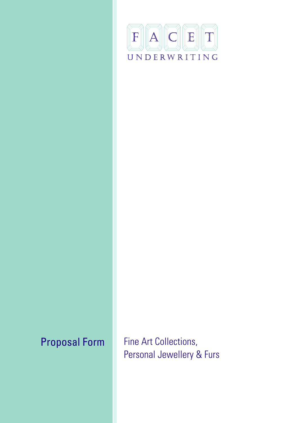

Proposal Form

Fine Art Collections, Personal Jewellery & Furs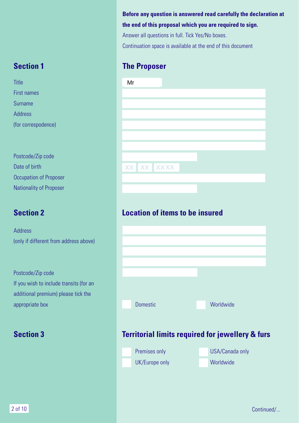**Before any question is answered read carefully the declaration at the end of this proposal which you are required to sign.**

Answer all questions in full. Tick Yes/No boxes. Continuation space is available at the end of this document

### **Section 1 The Proposer**

| Mr                |  |  |
|-------------------|--|--|
|                   |  |  |
|                   |  |  |
|                   |  |  |
|                   |  |  |
|                   |  |  |
|                   |  |  |
| <b>XX XX XXXX</b> |  |  |
|                   |  |  |

### **Section 2 Location of items to be insured**



## **Section 3 Territorial limits required for jewellery & furs**



USA/Canada only

**Title** First names Surname Address (for correspodence)

Postcode/Zip code Date of birth Occupation of Proposer Nationality of Proposer

Address (only if different from address above)

Postcode/Zip code If you wish to include transits (for an additional premium) please tick the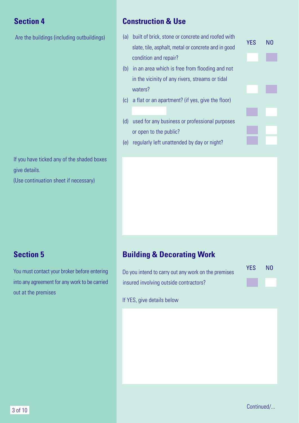Are the buildings (including outbuildings)

If you have ticked any of the shaded boxes give details.

(Use continuation sheet if necessary)

## <span id="page-2-0"></span>**Section 4 Construction & Use**

- (a) built of brick, stone or concrete and roofed with slate, tile, asphalt, metal or concrete and in good condition and repair? YES NO
- (b) in an area which is free from flooding and not in the vicinity of any rivers, streams or tidal waters?
- (c) a flat or an apartment? (if yes, give the floor)
- (d) used for any business or professional purposes or open to the public?
- (e) regularly left unattended by day or night?

## **Section 5**

You must contact your broker before entering into any agreement for any work to be carried out at the premises

### **Building & Decorating Work**

| Do you intend to carry out any work on the premises | <b>YES</b> | N <sub>0</sub> |
|-----------------------------------------------------|------------|----------------|
| insured involving outside contractors?              |            |                |

### If YES, give details below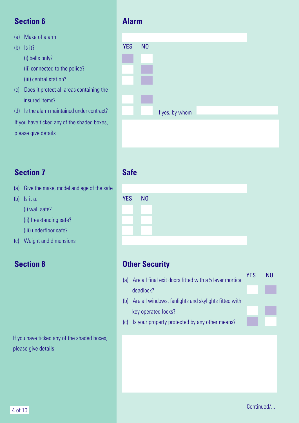### <span id="page-3-0"></span>**Section 6 Alarm**

(a) Make of alarm

(b) Is it?

(i) bells only?

- (ii) connected to the police?
- (iii) central station?
- (c) Does it protect all areas containing the insured items?

(d) Is the alarm maintained under contract? If you have ticked any of the shaded boxes, please give details

### **Section 7 Safe**

(a) Give the make, model and age of the safe

(b) Is it a:

(i) wall safe?

(ii) freestanding safe?

(iii) underfloor safe?

(c) Weight and dimensions

### **Section 8**

If you have ticked any of the shaded boxes, please give details

| <b>YES</b><br>N <sub>0</sub> |  |                 |  |
|------------------------------|--|-----------------|--|
|                              |  |                 |  |
|                              |  |                 |  |
|                              |  |                 |  |
|                              |  |                 |  |
|                              |  |                 |  |
|                              |  |                 |  |
|                              |  |                 |  |
|                              |  |                 |  |
|                              |  |                 |  |
|                              |  |                 |  |
|                              |  | If yes, by whom |  |
|                              |  |                 |  |
|                              |  |                 |  |
|                              |  |                 |  |

| YES NO |  |
|--------|--|
|        |  |
|        |  |
|        |  |

### **Other Security**

- (a) Are all final exit doors fitted with a 5 lever mortice deadlock? YES NO
- (b) Are all windows, fanlights and skylights fitted with key operated locks?
- (c) Is your property protected by any other means?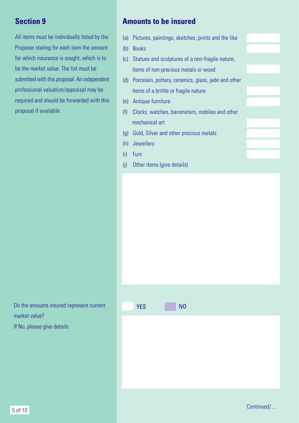All items must be individually listed by the Proposer stating for each item the amount for which insurance is sought, which is to be the market value. The list must be submitted with this proposal. An independent professional valuation/appraisal may be required and should be forwarded with this proposal if available.

### <span id="page-4-0"></span>**Section 9 Amounts to be insured**

- (a) Pictures, paintings, sketches, prints and the like
- (b) Books
- (c) Statues and sculptures of a non-fragile nature, items of non-precious metals or wood
- (d) Porcelain, pottery, ceramics, glass, jade and other items of a brittle or fragile nature
- (e) Antique furniture
- (f) Clocks, watches, barometers, mobiles and other mechanical art
- (g) Gold, Silver and other precious metals
- (h) Jewellery
- (i) Furs
- (j) Other items (give details)

Do the amounts insured represent current market value? If No, please give details

| $\mathcal{L}^{\text{max}}_{\text{max}}$ and $\mathcal{L}^{\text{max}}_{\text{max}}$ and $\mathcal{L}^{\text{max}}_{\text{max}}$ |  |  |
|---------------------------------------------------------------------------------------------------------------------------------|--|--|
| and the control of the control of the                                                                                           |  |  |
|                                                                                                                                 |  |  |

| <b>YES</b> | N <sub>0</sub> |  |  |
|------------|----------------|--|--|
|            |                |  |  |
|            |                |  |  |

[Continued/...](#page-5-0)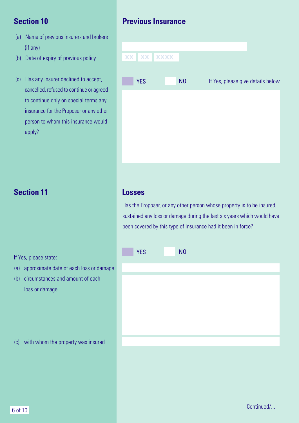- (a) Name of previous insurers and brokers (if any)
- (b) Date of expiry of previous policy
- (c) Has any insurer declined to accept, cancelled, refused to continue or agreed to continue only on special terms any insurance for the Proposer or any other person to whom this insurance would apply?

### <span id="page-5-0"></span>**Section 10 Previous Insurance**



### **Section 11 Losses**

If Yes, please state:

loss or damage

Has the Proposer, or any other person whose property is to be insured, sustained any loss or damage during the last six years which would have been covered by this type of insurance had it been in force?



(c) with whom the property was insured

(b) circumstances and amount of each

[Continued/...](#page-6-0)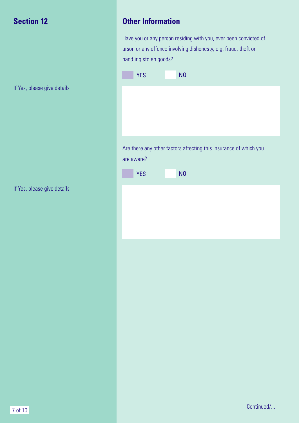If Yes, please give details

If Yes, please give details

## <span id="page-6-0"></span>**Section 12 Other Information**

Have you or any person residing with you, ever been convicted of arson or any offence involving dishonesty, e.g. fraud, theft or handling stolen goods?

| <b>YES</b> | N <sub>0</sub>                                                    |
|------------|-------------------------------------------------------------------|
|            |                                                                   |
|            |                                                                   |
|            |                                                                   |
| are aware? | Are there any other factors affecting this insurance of which you |

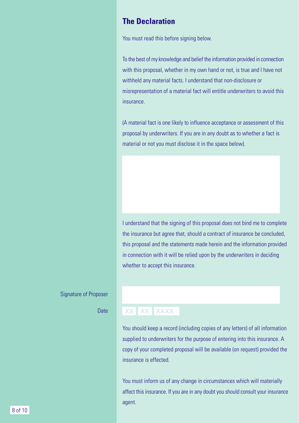### <span id="page-7-0"></span>**The Declaration**

You must read this before signing below.

To the best of my knowledge and belief the information provided in connection with this proposal, whether in my own hand or not, is true and I have not withheld any material facts. I understand that non-disclosure or misrepresentation of a material fact will entitle underwriters to avoid this insurance.

(A material fact is one likely to influence acceptance or assessment of this proposal by underwriters. If you are in any doubt as to whether a fact is material or not you must disclose it in the space below).

I understand that the signing of this proposal does not bind me to complete the insurance but agree that, should a contract of insurance be concluded, this proposal and the statements made herein and the information provided in connection with it will be relied upon by the underwriters in deciding whether to accept this insurance.

### Signature of Proposer

**Date** 

### **XX XX XXXX**

You should keep a record (including copies of any letters) of all information supplied to underwriters for the purpose of entering into this insurance. A copy of your completed proposal will be available (on request) provided the insurance is effected.

You must inform us of any change in circumstances which will materially affect this insurance. If you are in any doubt you should consult your insurance agent.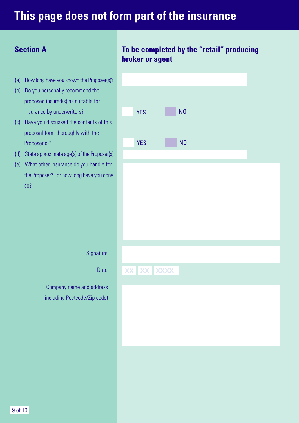# **This page does not form part of the insurance**

- (a) How long have you known the Proposer(s)?
- (b) Do you personally recommend the proposed insured(s) as suitable for insurance by underwriters?
- (c) Have you discussed the contents of this proposal form thoroughly with the Proposer(s)?
- (d) State approximate age(s) of the Proposer(s)
- (e) What other insurance do you handle for the Proposer? For how long have you done so?

### **Section A To be completed by the "retail" producing broker or agent**

| <b>YES</b> | - 11<br>N <sub>0</sub> |  |
|------------|------------------------|--|
|            |                        |  |
| <b>YES</b> | N <sub>0</sub>         |  |
|            |                        |  |
|            |                        |  |
|            |                        |  |
|            |                        |  |
|            |                        |  |
|            |                        |  |
|            |                        |  |
| XX XX XXXX |                        |  |
|            |                        |  |
|            |                        |  |
|            |                        |  |

**Signature** 

Date

Company name and address (including Postcode/Zip code)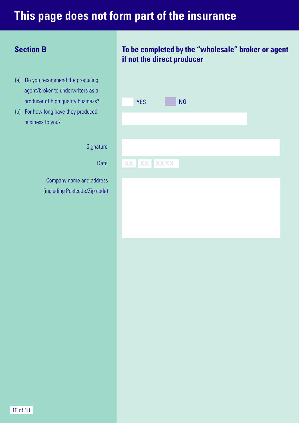# **This page does not form part of the insurance**

- (a) Do you recommend the producing agent/broker to underwriters as a producer of high quality business?
- (b) For how long have they produced business to you?

### **Signature**

Date

Company name and address (including Postcode/Zip code)

### **Section B To be completed by the "wholesale" broker or agent if not the direct producer**